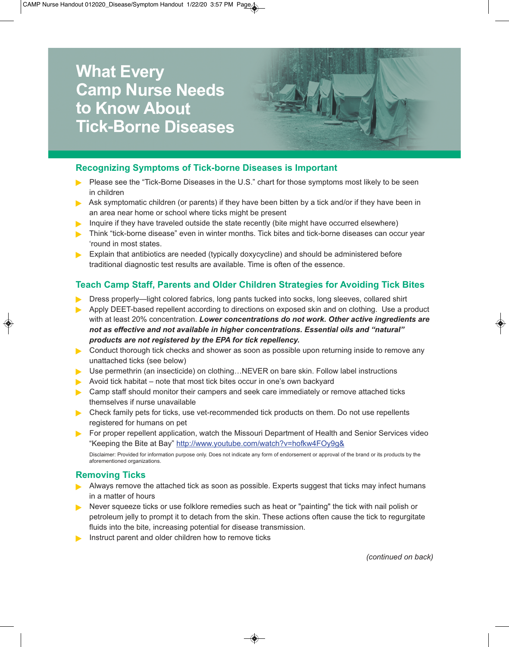# **What Every Camp Nurse Needs to Know About Tick-Borne Diseases**



## **Recognizing Symptoms of Tick-borne Diseases is Important**

- Please see the "Tick-Borne Diseases in the U.S." chart for those symptoms most likely to be seen in children
- Ask symptomatic children (or parents) if they have been bitten by a tick and/or if they have been in an area near home or school where ticks might be present
- Inquire if they have traveled outside the state recently (bite might have occurred elsewhere)
- **Think "tick-borne disease" even in winter months. Tick bites and tick-borne diseases can occur year** 'round in most states.
- Explain that antibiotics are needed (typically doxycycline) and should be administered before traditional diagnostic test results are available. Time is often of the essence.

## **Teach Camp Staff, Parents and Older Children Strategies for Avoiding Tick Bites**

- Dress properly—light colored fabrics, long pants tucked into socks, long sleeves, collared shirt
- Apply DEET-based repellent according to directions on exposed skin and on clothing. Use a product with at least 20% concentration. *Lower concentrations do not work. Other active ingredients are not as effective and not available in higher concentrations. Essential oils and "natural" products are not registered by the EPA for tick repellency.*
- **Conduct thorough tick checks and shower as soon as possible upon returning inside to remove any** unattached ticks (see below)
- ▶ Use permethrin (an insecticide) on clothing...NEVER on bare skin. Follow label instructions
- Avoid tick habitat note that most tick bites occur in one's own backvard
- Camp staff should monitor their campers and seek care immediately or remove attached ticks themselves if nurse unavailable
- **Check family pets for ticks, use vet-recommended tick products on them. Do not use repellents** registered for humans on pet
- **For proper repellent application, watch the Missouri Department of Health and Senior Services video** "Keeping the Bite at Bay" http://www.youtube.com/watch?v=hofkw4FOy9g&

Disclaimer: Provided for information purpose only. Does not indicate any form of endorsement or approval of the brand or its products by the aforementioned organizations.

#### **Removing Ticks**

- Always remove the attached tick as soon as possible. Experts suggest that ticks may infect humans in a matter of hours
- Never squeeze ticks or use folklore remedies such as heat or "painting" the tick with nail polish or petroleum jelly to prompt it to detach from the skin. These actions often cause the tick to regurgitate fluids into the bite, increasing potential for disease transmission.
- Instruct parent and older children how to remove ticks